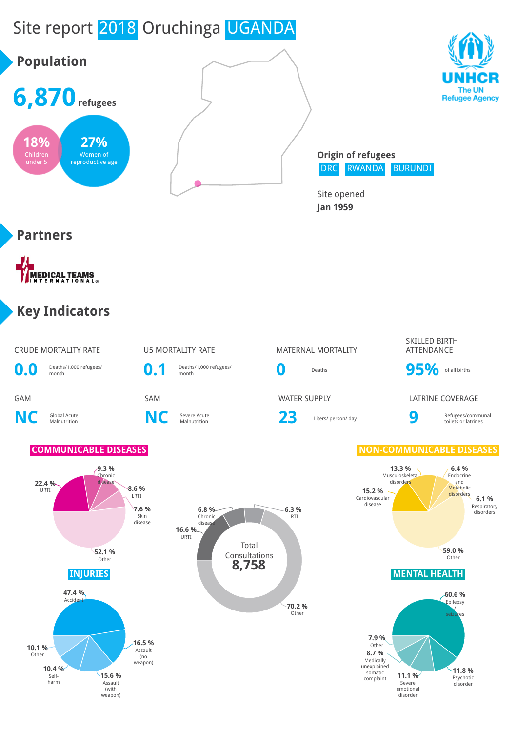# Site report 2018 Oruchinga UGANDA





**Origin of refugees** DRC RWANDA BURUNDI

Site opened **Jan 1959**

# **Partners**

MEDICAL TEAMS

# **Key Indicators**

### CRUDE MORTALITY RATE **U5 MORTALITY RATE** MATERNAL MORTALITY



**0.1** Deaths/1,000 refugees/

# Deaths/1,000 refugees/<br>month **95%** of all births

**6.3 %** LRTI

Severe Acute **23** Liters/ person/ day **9** 

### SKILLED BIRTH ATTENDANCE

### GAM SAM WATER SUPPLY LATRINE COVERAGE

Refugees/communal toilets or latrines

### **COMMUNICABLE DISEASES NON-COMMUNICABLE DISEASES**













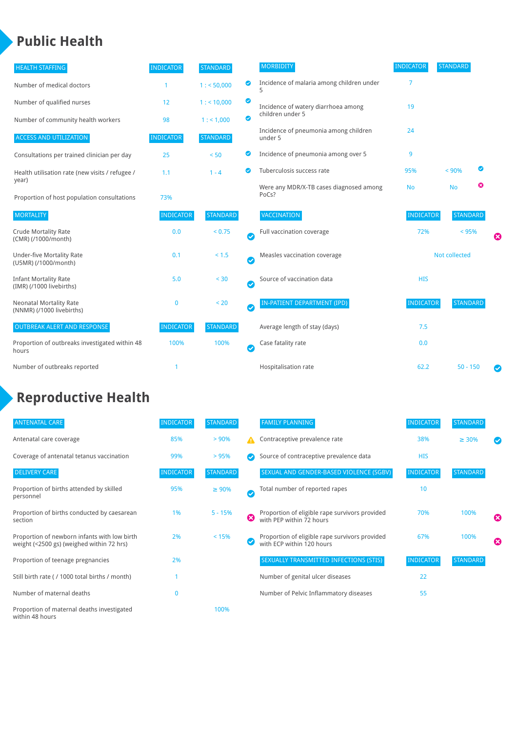# **Public Health**

| <b>HEALTH STAFFING</b>                                      | <b>INDICATOR</b> | <b>STANDARD</b> |           | <b>MORBIDITY</b>                                 | <b>INDICATOR</b> | <b>STANDARD</b> |   |   |
|-------------------------------------------------------------|------------------|-----------------|-----------|--------------------------------------------------|------------------|-----------------|---|---|
| Number of medical doctors                                   | 1                | 1: 50,000       | ◙         | Incidence of malaria among children under        | 7                |                 |   |   |
| Number of qualified nurses                                  | 12               | 1:10,000        | ◉         | Incidence of watery diarrhoea among              | 19               |                 |   |   |
| Number of community health workers                          | 98               | 1: 1,000        | ◙         | children under 5                                 |                  |                 |   |   |
| <b>ACCESS AND UTILIZATION</b>                               | <b>INDICATOR</b> | <b>STANDARD</b> |           | Incidence of pneumonia among children<br>under 5 | 24               |                 |   |   |
| Consultations per trained clinician per day                 | 25               | < 50            | Ø         | Incidence of pneumonia among over 5              | 9                |                 |   |   |
| Health utilisation rate (new visits / refugee /             | 1.1              | $1 - 4$         | ల         | Tuberculosis success rate                        | 95%              | < 90%           | ◙ |   |
| year)<br>Proportion of host population consultations        | 73%              |                 |           | Were any MDR/X-TB cases diagnosed among<br>PoCs? | <b>No</b>        | <b>No</b>       | ☺ |   |
| <b>MORTALITY</b>                                            | <b>INDICATOR</b> | <b>STANDARD</b> |           | <b>VACCINATION</b>                               | <b>INDICATOR</b> | <b>STANDARD</b> |   |   |
| <b>Crude Mortality Rate</b><br>(CMR) (/1000/month)          | 0.0              | < 0.75          | $\bullet$ | Full vaccination coverage                        | 72%              | < 95%           |   | Ø |
| <b>Under-five Mortality Rate</b><br>(U5MR) (/1000/month)    | 0.1              | < 1.5           | Ø         | Measles vaccination coverage                     |                  | Not collected   |   |   |
| <b>Infant Mortality Rate</b><br>(IMR) (/1000 livebirths)    | 5.0              | < 30            | $\bullet$ | Source of vaccination data                       | <b>HIS</b>       |                 |   |   |
| <b>Neonatal Mortality Rate</b><br>(NNMR) (/1000 livebirths) | $\mathbf{0}$     | < 20            | $\bullet$ | <b>IN-PATIENT DEPARTMENT (IPD)</b>               | <b>INDICATOR</b> | <b>STANDARD</b> |   |   |
| <b>OUTBREAK ALERT AND RESPONSE</b>                          | <b>INDICATOR</b> | <b>STANDARD</b> |           | Average length of stay (days)                    | 7.5              |                 |   |   |
| Proportion of outbreaks investigated within 48<br>hours     | 100%             | 100%            | $\bullet$ | Case fatality rate                               | 0.0              |                 |   |   |
| Number of outbreaks reported                                |                  |                 |           | Hospitalisation rate                             | 62.2             | $50 - 150$      |   | Ø |

# **Reproductive Health**

| <b>ANTENATAL CARE</b>                                                                     | <b>INDICATOR</b> | <b>STANDARD</b> |               | <b>FAMILY PLANNING</b>                                                      | <b>INDICATOR</b> | <b>STANDARD</b> |                       |
|-------------------------------------------------------------------------------------------|------------------|-----------------|---------------|-----------------------------------------------------------------------------|------------------|-----------------|-----------------------|
| Antenatal care coverage                                                                   | 85%              | $> 90\%$        | A             | Contraceptive prevalence rate                                               | 38%              | $\geq 30\%$     |                       |
| Coverage of antenatal tetanus vaccination                                                 | 99%              | >95%            |               | Source of contraceptive prevalence data                                     | <b>HIS</b>       |                 |                       |
| <b>DELIVERY CARE</b>                                                                      | <b>INDICATOR</b> | <b>STANDARD</b> |               | SEXUAL AND GENDER-BASED VIOLENCE (SGBV)                                     | <b>INDICATOR</b> | <b>STANDARD</b> |                       |
| Proportion of births attended by skilled<br>personnel                                     | 95%              | $\geq 90\%$     | $\bm{\sigma}$ | Total number of reported rapes                                              | 10               |                 |                       |
| Proportion of births conducted by caesarean<br>section                                    | 1%               | $5 - 15%$       | ☎             | Proportion of eligible rape survivors provided<br>with PEP within 72 hours  | 70%              | 100%            | $\boldsymbol{\omega}$ |
| Proportion of newborn infants with low birth<br>weight (<2500 gs) (weighed within 72 hrs) | 2%               | < 15%           |               | Proportion of eligible rape survivors provided<br>with ECP within 120 hours | 67%              | 100%            | ☎                     |
| Proportion of teenage pregnancies                                                         | 2%               |                 |               | SEXUALLY TRANSMITTED INFECTIONS (STIS)                                      | <b>INDICATOR</b> | <b>STANDARD</b> |                       |
| Still birth rate (/ 1000 total births / month)                                            |                  |                 |               | Number of genital ulcer diseases                                            | 22               |                 |                       |
| Number of maternal deaths                                                                 | $\bf{0}$         |                 |               | Number of Pelvic Inflammatory diseases                                      | 55               |                 |                       |
| Proportion of maternal deaths investigated<br>within 48 hours                             |                  | 100%            |               |                                                                             |                  |                 |                       |